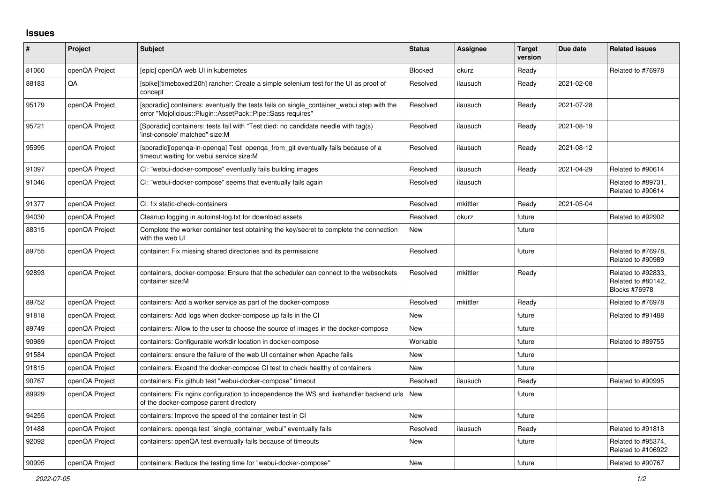## **Issues**

| #     | Project        | <b>Subject</b>                                                                                                                                           | <b>Status</b> | <b>Assignee</b> | <b>Target</b><br>version | Due date   | <b>Related issues</b>                                            |
|-------|----------------|----------------------------------------------------------------------------------------------------------------------------------------------------------|---------------|-----------------|--------------------------|------------|------------------------------------------------------------------|
| 81060 | openQA Project | Tepic] openQA web UI in kubernetes                                                                                                                       | Blocked       | okurz           | Ready                    |            | Related to #76978                                                |
| 88183 | QA             | [spike][timeboxed:20h] rancher: Create a simple selenium test for the UI as proof of<br>concept                                                          | Resolved      | ilausuch        | Ready                    | 2021-02-08 |                                                                  |
| 95179 | openQA Project | [sporadic] containers: eventually the tests fails on single container webui step with the<br>error "Mojolicious::Plugin::AssetPack::Pipe::Sass requires" | Resolved      | ilausuch        | Ready                    | 2021-07-28 |                                                                  |
| 95721 | openQA Project | [Sporadic] containers: tests fail with "Test died: no candidate needle with tag(s)<br>'inst-console' matched" size:M                                     | Resolved      | ilausuch        | Ready                    | 2021-08-19 |                                                                  |
| 95995 | openQA Project | [sporadic][openga-in-openga] Test openga from git eventually fails because of a<br>timeout waiting for webui service size:M                              | Resolved      | ilausuch        | Ready                    | 2021-08-12 |                                                                  |
| 91097 | openQA Project | CI: "webui-docker-compose" eventually fails building images                                                                                              | Resolved      | ilausuch        | Ready                    | 2021-04-29 | Related to #90614                                                |
| 91046 | openQA Project | CI: "webui-docker-compose" seems that eventually fails again                                                                                             | Resolved      | ilausuch        |                          |            | Related to #89731,<br>Related to #90614                          |
| 91377 | openQA Project | CI: fix static-check-containers                                                                                                                          | Resolved      | mkittler        | Ready                    | 2021-05-04 |                                                                  |
| 94030 | openQA Project | Cleanup logging in autoinst-log.txt for download assets                                                                                                  | Resolved      | okurz           | future                   |            | Related to #92902                                                |
| 88315 | openQA Project | Complete the worker container test obtaining the key/secret to complete the connection<br>with the web UI                                                | <b>New</b>    |                 | future                   |            |                                                                  |
| 89755 | openQA Project | container: Fix missing shared directories and its permissions                                                                                            | Resolved      |                 | future                   |            | Related to #76978,<br>Related to #90989                          |
| 92893 | openQA Project | containers, docker-compose: Ensure that the scheduler can connect to the websockets<br>container size:M                                                  | Resolved      | mkittler        | Ready                    |            | Related to #92833,<br>Related to #80142,<br><b>Blocks #76978</b> |
| 89752 | openQA Project | containers: Add a worker service as part of the docker-compose                                                                                           | Resolved      | mkittler        | Ready                    |            | Related to #76978                                                |
| 91818 | openQA Project | containers: Add logs when docker-compose up fails in the CI                                                                                              | New           |                 | future                   |            | Related to #91488                                                |
| 89749 | openQA Project | containers: Allow to the user to choose the source of images in the docker-compose                                                                       | New           |                 | future                   |            |                                                                  |
| 90989 | openQA Project | containers: Configurable workdir location in docker-compose                                                                                              | Workable      |                 | future                   |            | Related to #89755                                                |
| 91584 | openQA Project | containers: ensure the failure of the web UI container when Apache fails                                                                                 | New           |                 | future                   |            |                                                                  |
| 91815 | openQA Project | containers: Expand the docker-compose CI test to check healthy of containers                                                                             | <b>New</b>    |                 | future                   |            |                                                                  |
| 90767 | openQA Project | containers: Fix github test "webui-docker-compose" timeout                                                                                               | Resolved      | ilausuch        | Ready                    |            | Related to #90995                                                |
| 89929 | openQA Project | containers: Fix nginx configuration to independence the WS and livehandler backend urls<br>of the docker-compose parent directory                        | New           |                 | future                   |            |                                                                  |
| 94255 | openQA Project | containers: Improve the speed of the container test in CI                                                                                                | <b>New</b>    |                 | future                   |            |                                                                  |
| 91488 | openQA Project | containers: openga test "single container webui" eventually fails                                                                                        | Resolved      | ilausuch        | Ready                    |            | Related to #91818                                                |
| 92092 | openQA Project | containers: openQA test eventually fails because of timeouts                                                                                             | New           |                 | future                   |            | Related to #95374,<br>Related to #106922                         |
| 90995 | openQA Project | containers: Reduce the testing time for "webui-docker-compose"                                                                                           | <b>New</b>    |                 | future                   |            | Related to #90767                                                |